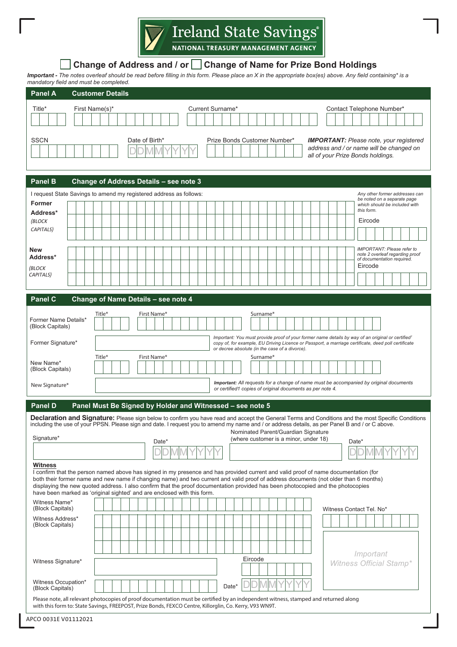

# **Change of Address and / or Change of Name for Prize Bond Holdings**

*Important - The notes overleaf should be read before filling in this form. Please place an X in the appropriate box(es) above. Any field containing\* is a mandatory field and must be completed.*

| <b>Panel A</b>                           | <b>Customer Details</b>                                                                                                                                                                                                                                                                                                                                                                                                                                                                    |
|------------------------------------------|--------------------------------------------------------------------------------------------------------------------------------------------------------------------------------------------------------------------------------------------------------------------------------------------------------------------------------------------------------------------------------------------------------------------------------------------------------------------------------------------|
| Title*                                   | Current Surname*<br>First Name(s)*<br>Contact Telephone Number*                                                                                                                                                                                                                                                                                                                                                                                                                            |
| <b>SSCN</b>                              | Date of Birth*<br>Prize Bonds Customer Number*<br><b>IMPORTANT:</b> Please note, your registered<br>address and / or name will be changed on<br>all of your Prize Bonds holdings.                                                                                                                                                                                                                                                                                                          |
| <b>Panel B</b>                           | Change of Address Details - see note 3                                                                                                                                                                                                                                                                                                                                                                                                                                                     |
|                                          | I request State Savings to amend my registered address as follows:<br>Any other former addresses can                                                                                                                                                                                                                                                                                                                                                                                       |
| Former                                   | be noted on a separate page<br>which should be included with                                                                                                                                                                                                                                                                                                                                                                                                                               |
| Address*                                 | this form.<br>Eircode                                                                                                                                                                                                                                                                                                                                                                                                                                                                      |
| (BLOCK<br>CAPITALS)                      |                                                                                                                                                                                                                                                                                                                                                                                                                                                                                            |
|                                          |                                                                                                                                                                                                                                                                                                                                                                                                                                                                                            |
| <b>New</b><br>Address*                   | <b>IMPORTANT: Please refer to</b><br>note 2 overleaf regarding proof<br>of documentation required.                                                                                                                                                                                                                                                                                                                                                                                         |
| (BLOCK<br>CAPITALS)                      | Eircode                                                                                                                                                                                                                                                                                                                                                                                                                                                                                    |
|                                          |                                                                                                                                                                                                                                                                                                                                                                                                                                                                                            |
| Panel C                                  | Change of Name Details - see note 4                                                                                                                                                                                                                                                                                                                                                                                                                                                        |
|                                          | Title*<br>First Name*<br>Surname*                                                                                                                                                                                                                                                                                                                                                                                                                                                          |
| Former Name Details*<br>(Block Capitals) |                                                                                                                                                                                                                                                                                                                                                                                                                                                                                            |
| Former Signature*                        | Important: You must provide proof of your former name details by way of an original or certified <sup>1</sup><br>copy of, for example, EU Driving Licence or Passport, a marriage certificate, deed poll certificate<br>or decree absolute (in the case of a divorce).                                                                                                                                                                                                                     |
| New Name*                                | Title*<br>First Name*<br>Surname*                                                                                                                                                                                                                                                                                                                                                                                                                                                          |
| (Block Capitals)                         |                                                                                                                                                                                                                                                                                                                                                                                                                                                                                            |
| New Signature*                           | Important: All requests for a change of name must be accompanied by original documents<br>or certified1 copies of original documents as per note 4.                                                                                                                                                                                                                                                                                                                                        |
| <b>Panel D</b>                           | Panel Must Be Signed by Holder and Witnessed - see note 5                                                                                                                                                                                                                                                                                                                                                                                                                                  |
|                                          | <b>Declaration and Signature:</b> Please sign below to confirm you have read and accept the General Terms and Conditions and the most Specific Conditions<br>including the use of your PPSN. Please sign and date. I request you to amend my name and / or address details, as per Panel B and / or C above.                                                                                                                                                                               |
| Signature*                               | Nominated Parent/Guardian Signature<br>(where customer is a minor, under 18)<br>Date*<br>Date*                                                                                                                                                                                                                                                                                                                                                                                             |
|                                          |                                                                                                                                                                                                                                                                                                                                                                                                                                                                                            |
| <b>Witness</b>                           | I confirm that the person named above has signed in my presence and has provided current and valid proof of name documentation (for<br>both their former name and new name if changing name) and two current and valid proof of address documents (not older than 6 months)<br>displaying the new quoted address. I also confirm that the proof documentation provided has been photocopied and the photocopies<br>have been marked as 'original sighted' and are enclosed with this form. |
| Witness Name*<br>(Block Capitals)        | Witness Contact Tel. No*                                                                                                                                                                                                                                                                                                                                                                                                                                                                   |
| Witness Address*<br>(Block Capitals)     |                                                                                                                                                                                                                                                                                                                                                                                                                                                                                            |
|                                          |                                                                                                                                                                                                                                                                                                                                                                                                                                                                                            |
|                                          |                                                                                                                                                                                                                                                                                                                                                                                                                                                                                            |
| Witness Signature*                       | Important<br>Eircode                                                                                                                                                                                                                                                                                                                                                                                                                                                                       |
|                                          | <b>Witness Official Stamp*</b>                                                                                                                                                                                                                                                                                                                                                                                                                                                             |
| Witness Occupation*<br>(Block Capitals)  | Date*                                                                                                                                                                                                                                                                                                                                                                                                                                                                                      |
|                                          | Please note, all relevant photocopies of proof documentation must be certified by an independent witness, stamped and returned along<br>with this form to: State Savings, FREEPOST, Prize Bonds, FEXCO Centre, Killorglin, Co. Kerry, V93 WN9T.                                                                                                                                                                                                                                            |